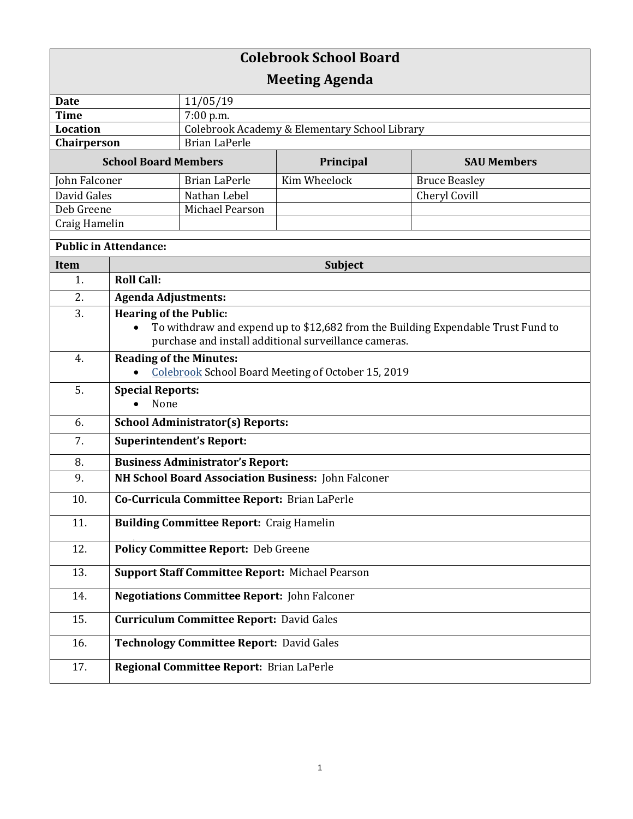| <b>Colebrook School Board</b> |                                                        |                                                     |                    |                                                                                  |  |
|-------------------------------|--------------------------------------------------------|-----------------------------------------------------|--------------------|----------------------------------------------------------------------------------|--|
| <b>Meeting Agenda</b>         |                                                        |                                                     |                    |                                                                                  |  |
| <b>Date</b>                   |                                                        | 11/05/19                                            |                    |                                                                                  |  |
| <b>Time</b>                   |                                                        | 7:00 p.m.                                           |                    |                                                                                  |  |
| <b>Location</b>               |                                                        | Colebrook Academy & Elementary School Library       |                    |                                                                                  |  |
| Chairperson                   |                                                        | <b>Brian LaPerle</b>                                |                    |                                                                                  |  |
| <b>School Board Members</b>   |                                                        | Principal                                           | <b>SAU Members</b> |                                                                                  |  |
| John Falconer                 |                                                        | <b>Brian LaPerle</b>                                | Kim Wheelock       | <b>Bruce Beasley</b>                                                             |  |
| David Gales                   |                                                        | Nathan Lebel                                        |                    | Cheryl Covill                                                                    |  |
| Deb Greene                    |                                                        | Michael Pearson                                     |                    |                                                                                  |  |
| Craig Hamelin                 |                                                        |                                                     |                    |                                                                                  |  |
| <b>Public in Attendance:</b>  |                                                        |                                                     |                    |                                                                                  |  |
| <b>Item</b>                   | <b>Subject</b>                                         |                                                     |                    |                                                                                  |  |
| 1.                            | <b>Roll Call:</b>                                      |                                                     |                    |                                                                                  |  |
| 2.                            | <b>Agenda Adjustments:</b>                             |                                                     |                    |                                                                                  |  |
| 3.                            | <b>Hearing of the Public:</b>                          |                                                     |                    |                                                                                  |  |
|                               |                                                        |                                                     |                    | To withdraw and expend up to \$12,682 from the Building Expendable Trust Fund to |  |
|                               | purchase and install additional surveillance cameras.  |                                                     |                    |                                                                                  |  |
| 4.                            | <b>Reading of the Minutes:</b>                         |                                                     |                    |                                                                                  |  |
|                               | Colebrook School Board Meeting of October 15, 2019     |                                                     |                    |                                                                                  |  |
| 5.                            | <b>Special Reports:</b>                                |                                                     |                    |                                                                                  |  |
|                               | None                                                   |                                                     |                    |                                                                                  |  |
| 6.                            | <b>School Administrator(s) Reports:</b>                |                                                     |                    |                                                                                  |  |
| 7.                            | <b>Superintendent's Report:</b>                        |                                                     |                    |                                                                                  |  |
| 8.                            | <b>Business Administrator's Report:</b>                |                                                     |                    |                                                                                  |  |
| 9.                            | NH School Board Association Business: John Falconer    |                                                     |                    |                                                                                  |  |
| 10.                           | Co-Curricula Committee Report: Brian LaPerle           |                                                     |                    |                                                                                  |  |
| 11.                           | <b>Building Committee Report: Craig Hamelin</b>        |                                                     |                    |                                                                                  |  |
| 12.                           | <b>Policy Committee Report: Deb Greene</b>             |                                                     |                    |                                                                                  |  |
| 13.                           | <b>Support Staff Committee Report: Michael Pearson</b> |                                                     |                    |                                                                                  |  |
| 14.                           |                                                        | <b>Negotiations Committee Report: John Falconer</b> |                    |                                                                                  |  |
| 15.                           | <b>Curriculum Committee Report: David Gales</b>        |                                                     |                    |                                                                                  |  |
| 16.                           | <b>Technology Committee Report: David Gales</b>        |                                                     |                    |                                                                                  |  |
| 17.                           |                                                        | Regional Committee Report: Brian LaPerle            |                    |                                                                                  |  |